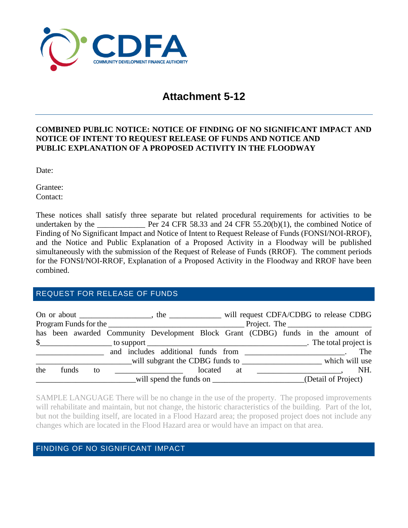

# **Attachment 5-12**

### **COMBINED PUBLIC NOTICE: NOTICE OF FINDING OF NO SIGNIFICANT IMPACT AND NOTICE OF INTENT TO REQUEST RELEASE OF FUNDS AND NOTICE AND PUBLIC EXPLANATION OF A PROPOSED ACTIVITY IN THE FLOODWAY**

Date:

Grantee: Contact:

These notices shall satisfy three separate but related procedural requirements for activities to be undertaken by the **FR 24 CFR 58.33** and 24 CFR 55.20(b)(1), the combined Notice of Finding of No Significant Impact and Notice of Intent to Request Release of Funds (FONSI/NOI-RROF), and the Notice and Public Explanation of a Proposed Activity in a Floodway will be published simultaneously with the submission of the Request of Release of Funds (RROF). The comment periods for the FONSI/NOI-RROF, Explanation of a Proposed Activity in the Floodway and RROF have been combined.

## REQUEST FOR RELEASE OF FUNDS

|     |       | On or about $\frac{1}{\sqrt{1-\frac{1}{2}}}\frac{1}{\sqrt{1-\frac{1}{2}}}\frac{1}{\sqrt{1-\frac{1}{2}}}\frac{1}{\sqrt{1-\frac{1}{2}}}\frac{1}{\sqrt{1-\frac{1}{2}}}\frac{1}{\sqrt{1-\frac{1}{2}}}\frac{1}{\sqrt{1-\frac{1}{2}}}\frac{1}{\sqrt{1-\frac{1}{2}}}\frac{1}{\sqrt{1-\frac{1}{2}}}\frac{1}{\sqrt{1-\frac{1}{2}}}\frac{1}{\sqrt{1-\frac{1}{2}}}\frac{1}{\sqrt{1-\frac{1}{2}}}\frac{1}{\sqrt{1-\frac{1}{2}}$ |  |  |                                                                                  |         | the ______________ will request CDFA/CDBG to release CDBG |  |  |                     |     |  |  |  |
|-----|-------|---------------------------------------------------------------------------------------------------------------------------------------------------------------------------------------------------------------------------------------------------------------------------------------------------------------------------------------------------------------------------------------------------------------------|--|--|----------------------------------------------------------------------------------|---------|-----------------------------------------------------------|--|--|---------------------|-----|--|--|--|
|     |       |                                                                                                                                                                                                                                                                                                                                                                                                                     |  |  |                                                                                  |         |                                                           |  |  |                     |     |  |  |  |
|     |       |                                                                                                                                                                                                                                                                                                                                                                                                                     |  |  | has been awarded Community Development Block Grant (CDBG) funds in the amount of |         |                                                           |  |  |                     |     |  |  |  |
|     |       |                                                                                                                                                                                                                                                                                                                                                                                                                     |  |  | \$                                                                               |         |                                                           |  |  |                     |     |  |  |  |
|     |       |                                                                                                                                                                                                                                                                                                                                                                                                                     |  |  |                                                                                  |         |                                                           |  |  |                     | The |  |  |  |
|     |       |                                                                                                                                                                                                                                                                                                                                                                                                                     |  |  | will subgrant the CDBG funds to<br>which will use                                |         |                                                           |  |  |                     |     |  |  |  |
| the | funds | to                                                                                                                                                                                                                                                                                                                                                                                                                  |  |  |                                                                                  | located | at                                                        |  |  |                     | NH. |  |  |  |
|     |       |                                                                                                                                                                                                                                                                                                                                                                                                                     |  |  |                                                                                  |         |                                                           |  |  | (Detail of Project) |     |  |  |  |

SAMPLE LANGUAGE There will be no change in the use of the property. The proposed improvements will rehabilitate and maintain, but not change, the historic characteristics of the building. Part of the lot, but not the building itself, are located in a Flood Hazard area; the proposed project does not include any changes which are located in the Flood Hazard area or would have an impact on that area.

## FINDING OF NO SIGNIFICANT IMPACT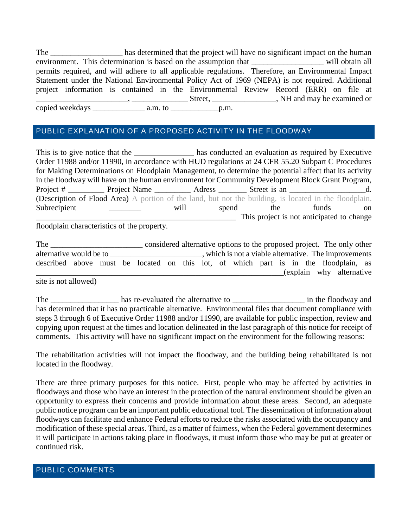The \_\_\_\_\_\_\_\_\_\_\_\_\_\_\_\_\_\_\_ has determined that the project will have no significant impact on the human environment. This determination is based on the assumption that will obtain all permits required, and will adhere to all applicable regulations. Therefore, an Environmental Impact Statement under the National Environmental Policy Act of 1969 (NEPA) is not required. Additional project information is contained in the Environmental Review Record (ERR) on file at \_\_\_\_\_\_\_\_\_\_\_\_\_\_\_\_\_\_\_\_\_\_\_, \_\_\_\_\_\_\_\_\_\_\_\_\_\_ Street, \_\_\_\_\_\_\_\_\_\_\_\_\_\_\_\_, NH and may be examined or copied weekdays \_\_\_\_\_\_\_\_\_\_\_\_\_ a.m. to \_\_\_\_\_\_\_\_\_\_\_\_p.m.

## PUBLIC EXPLANATION OF A PROPOSED ACTIVITY IN THE FLOODWAY

This is to give notice that the has conducted an evaluation as required by Executive Order 11988 and/or 11990, in accordance with HUD regulations at 24 CFR 55.20 Subpart C Procedures for Making Determinations on Floodplain Management, to determine the potential affect that its activity in the floodway will have on the human environment for Community Development Block Grant Program, Project # \_\_\_\_\_\_\_\_\_\_\_ Project Name \_\_\_\_\_\_\_\_\_\_\_ Adress \_\_\_\_\_\_\_\_ Street is an \_\_\_\_\_\_\_\_\_\_\_\_\_\_\_\_\_\_\_\_\_\_\_\_ d. (Description of Flood Area) A portion of the land, but not the building, is located in the floodplain. Subrecipient \_\_\_\_\_\_\_\_ will spend the funds on This project is not anticipated to change floodplain characteristics of the property.

| The                                                                                 |                                                       |  |  |  |  |  | considered alternative options to the proposed project. The only other |  |  |  |  |  |                          |  |
|-------------------------------------------------------------------------------------|-------------------------------------------------------|--|--|--|--|--|------------------------------------------------------------------------|--|--|--|--|--|--------------------------|--|
| alternative would be to                                                             | , which is not a viable alternative. The improvements |  |  |  |  |  |                                                                        |  |  |  |  |  |                          |  |
| described above must be located on this lot, of which part is in the floodplain, as |                                                       |  |  |  |  |  |                                                                        |  |  |  |  |  |                          |  |
|                                                                                     |                                                       |  |  |  |  |  |                                                                        |  |  |  |  |  | (explain why alternative |  |

site is not allowed)

The \_\_\_\_\_\_\_\_\_\_\_\_\_\_\_\_\_\_\_\_ has re-evaluated the alternative to \_\_\_\_\_\_\_\_\_\_\_\_\_\_\_\_\_\_\_\_\_\_\_\_\_\_\_ in the floodway and has determined that it has no practicable alternative. Environmental files that document compliance with steps 3 through 6 of Executive Order 11988 and/or 11990, are available for public inspection, review and copying upon request at the times and location delineated in the last paragraph of this notice for receipt of comments. This activity will have no significant impact on the environment for the following reasons:

The rehabilitation activities will not impact the floodway, and the building being rehabilitated is not located in the floodway.

There are three primary purposes for this notice. First, people who may be affected by activities in floodways and those who have an interest in the protection of the natural environment should be given an opportunity to express their concerns and provide information about these areas. Second, an adequate public notice program can be an important public educational tool. The dissemination of information about floodways can facilitate and enhance Federal efforts to reduce the risks associated with the occupancy and modification of these special areas. Third, as a matter of fairness, when the Federal government determines it will participate in actions taking place in floodways, it must inform those who may be put at greater or continued risk.

### PUBLIC COMMENTS